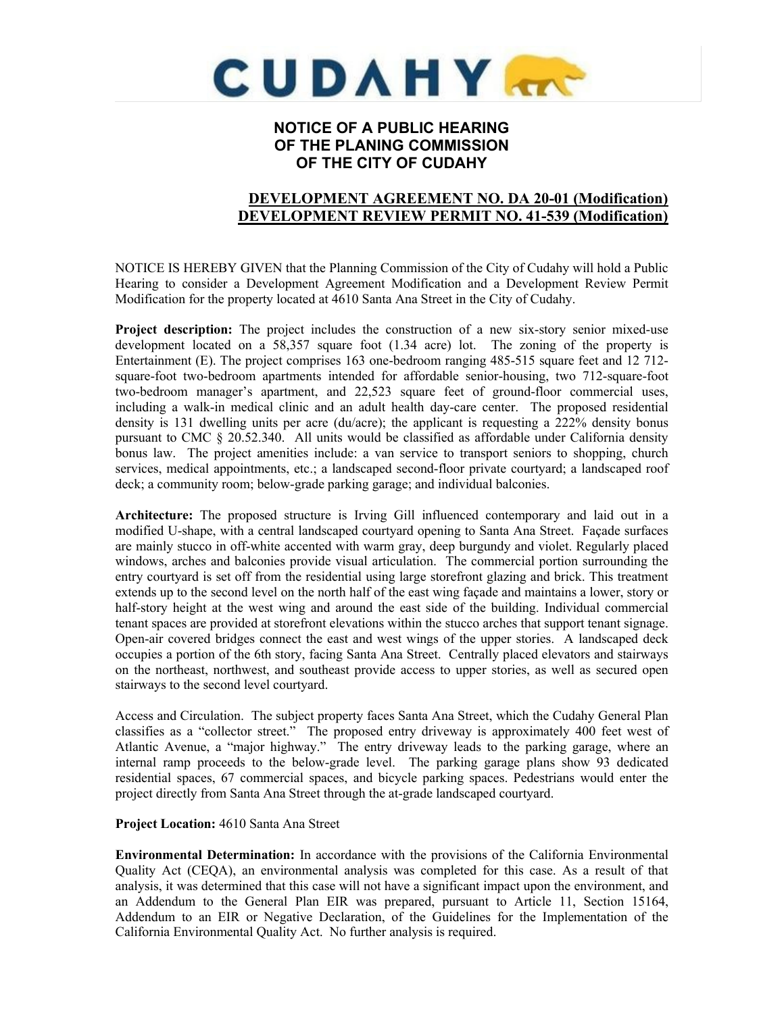

# **NOTICE OF A PUBLIC HEARING OF THE PLANING COMMISSION OF THE CITY OF CUDAHY**

# **DEVELOPMENT AGREEMENT NO. DA 20-01 (Modification) DEVELOPMENT REVIEW PERMIT NO. 41-539 (Modification)**

NOTICE IS HEREBY GIVEN that the Planning Commission of the City of Cudahy will hold a Public Hearing to consider a Development Agreement Modification and a Development Review Permit Modification for the property located at 4610 Santa Ana Street in the City of Cudahy.

**Project description:** The project includes the construction of a new six-story senior mixed-use development located on a 58,357 square foot (1.34 acre) lot. The zoning of the property is Entertainment (E). The project comprises 163 one-bedroom ranging 485-515 square feet and 12 712 square-foot two-bedroom apartments intended for affordable senior-housing, two 712-square-foot two-bedroom manager's apartment, and 22,523 square feet of ground-floor commercial uses, including a walk-in medical clinic and an adult health day-care center. The proposed residential density is 131 dwelling units per acre (du/acre); the applicant is requesting a 222% density bonus pursuant to CMC  $\S$  20.52.340. All units would be classified as affordable under California density bonus law. The project amenities include: a van service to transport seniors to shopping, church services, medical appointments, etc.; a landscaped second-floor private courtyard; a landscaped roof deck; a community room; below-grade parking garage; and individual balconies.

**Architecture:** The proposed structure is Irving Gill influenced contemporary and laid out in a modified U-shape, with a central landscaped courtyard opening to Santa Ana Street. Façade surfaces are mainly stucco in off-white accented with warm gray, deep burgundy and violet. Regularly placed windows, arches and balconies provide visual articulation. The commercial portion surrounding the entry courtyard is set off from the residential using large storefront glazing and brick. This treatment extends up to the second level on the north half of the east wing façade and maintains a lower, story or half-story height at the west wing and around the east side of the building. Individual commercial tenant spaces are provided at storefront elevations within the stucco arches that support tenant signage. Open-air covered bridges connect the east and west wings of the upper stories. A landscaped deck occupies a portion of the 6th story, facing Santa Ana Street. Centrally placed elevators and stairways on the northeast, northwest, and southeast provide access to upper stories, as well as secured open stairways to the second level courtyard.

Access and Circulation. The subject property faces Santa Ana Street, which the Cudahy General Plan classifies as a "collector street." The proposed entry driveway is approximately 400 feet west of Atlantic Avenue, a "major highway." The entry driveway leads to the parking garage, where an internal ramp proceeds to the below-grade level. The parking garage plans show 93 dedicated residential spaces, 67 commercial spaces, and bicycle parking spaces. Pedestrians would enter the project directly from Santa Ana Street through the at-grade landscaped courtyard.

#### **Project Location:** 4610 Santa Ana Street

**Environmental Determination:** In accordance with the provisions of the California Environmental Quality Act (CEQA), an environmental analysis was completed for this case. As a result of that analysis, it was determined that this case will not have a significant impact upon the environment, and an Addendum to the General Plan EIR was prepared, pursuant to Article 11, Section 15164, Addendum to an EIR or Negative Declaration, of the Guidelines for the Implementation of the California Environmental Quality Act. No further analysis is required.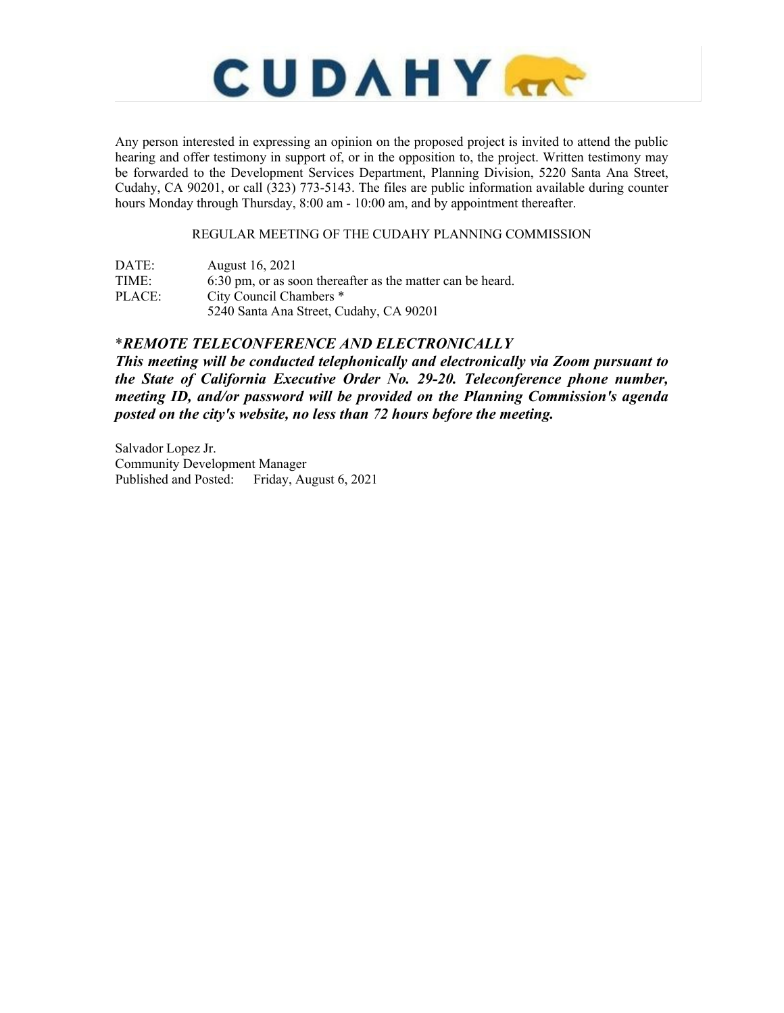

Any person interested in expressing an opinion on the proposed project is invited to attend the public hearing and offer testimony in support of, or in the opposition to, the project. Written testimony may be forwarded to the Development Services Department, Planning Division, 5220 Santa Ana Street, Cudahy, CA 90201, or call (323) 773-5143. The files are public information available during counter hours Monday through Thursday, 8:00 am - 10:00 am, and by appointment thereafter.

### REGULAR MEETING OF THE CUDAHY PLANNING COMMISSION

| DATE:  | August 16, 2021                                            |
|--------|------------------------------------------------------------|
| TIME:  | 6:30 pm, or as soon thereafter as the matter can be heard. |
| PLACE: | City Council Chambers *                                    |
|        | 5240 Santa Ana Street, Cudahy, CA 90201                    |
|        |                                                            |

## \**REMOTE TELECONFERENCE AND ELECTRONICALLY*

*This meeting will be conducted telephonically and electronically via Zoom pursuant to the State of California Executive Order No. 29-20. Teleconference phone number, meeting ID, and/or password will be provided on the Planning Commission's agenda posted on the city's website, no less than 72 hours before the meeting.*

Salvador Lopez Jr. Community Development Manager Published and Posted: Friday, August 6, 2021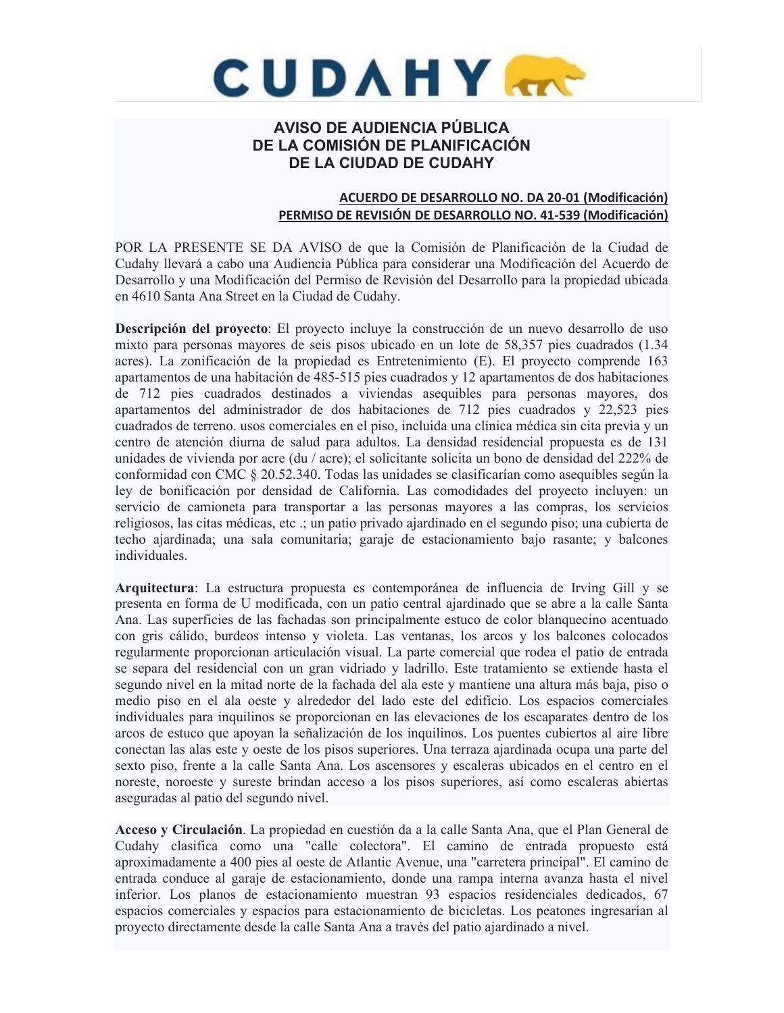

# **AVISO DE AUDIENCIA PÚBLICA DE LA COMISIÓN DE PLANIFICACIÓN DE LA CIUDAD DE CUDAHY**

## **ACUERDO DE DESARROLLO NO. DA 20-01 (Modificación) PERMISO DE REVISIÓN DE DESARROLLO NO. 41-539 (Modificación)**

POR LA PRESENTE SE DA AVISO de que la Comisión de Planificación de la Ciudad de Cudahy llevará a cabo una Audiencia Pública para considerar una Modificación del Acuerdo de Desarrollo y una Modificación del Permiso de Revisión del Desarrollo para la propiedad ubicada en 4610 Santa Ana Street en la Ciudad de Cudahy.

**Descripción del proyecto**: El proyecto incluye la construcción de un nuevo desarrollo de uso mixto para personas mayores de seis pisos ubicado en un lote de 58,357 pies cuadrados (1.34 acres). La zonificación de la propiedad es Entretenimiento (E). El proyecto comprende 163 apartamentos de una habitación de 485-515 pies cuadrados y 12 apartamentos de dos habitaciones de 712 pies cuadrados destinados a viviendas asequibles para personas mayores, dos apartamentos del administrador de dos habitaciones de 712 pies cuadrados y 22,523 pies cuadrados de terreno. usos comerciales en el piso, incluida una clínica médica sin cita previa y un centro de atención diurna de salud para adultos. La densidad residencial propuesta es de 131 unidades de vivienda por acre (du / acre); el solicitante solicita un bono de densidad del 222% de conformidad con CMC § 20.52.340. Todas las unidades se clasificarían como asequibles según la ley de bonificación por densidad de California. Las comodidades del proyecto incluyen: un servicio de camioneta para transportar a las personas mayores a las compras, los servicios religiosos, las citas médicas, etc .; un patio privado ajardinado en el segundo piso; una cubierta de techo ajardinada; una sala comunitaria; garaje de estacionamiento bajo rasante; y balcones individuales.

**Arquitectura**: La estructura propuesta es contemporánea de influencia de Irving Gill y se presenta en forma de U modificada, con un patio central ajardinado que se abre a la calle Santa Ana. Las superficies de las fachadas son principalmente estuco de color blanquecino acentuado con gris cálido, burdeos intenso y violeta. Las ventanas, los arcos y los balcones colocados regularmente proporcionan articulación visual. La parte comercial que rodea el patio de entrada se separa del residencial con un gran vidriado y ladrillo. Este tratamiento se extiende hasta el segundo nivel en la mitad norte de la fachada del ala este y mantiene una altura más baja, piso o medio piso en el ala oeste y alrededor del lado este del edificio. Los espacios comerciales individuales para inquilinos se proporcionan en las elevaciones de los escaparates dentro de los arcos de estuco que apoyan la señalización de los inquilinos. Los puentes cubiertos al aire libre conectan las alas este y oeste de los pisos superiores. Una terraza ajardinada ocupa una parte del sexto piso, frente a la calle Santa Ana. Los ascensores y escaleras ubicados en el centro en el noreste, noroeste y sureste brindan acceso a los pisos superiores, así como escaleras abiertas aseguradas al patio del segundo nivel.

**Acceso y Circulación**. La propiedad en cuestión da a la calle Santa Ana, que el Plan General de Cudahy clasifica como una "calle colectora". El camino de entrada propuesto está aproximadamente a 400 pies al oeste de Atlantic Avenue, una "carretera principal". El camino de entrada conduce al garaje de estacionamiento, donde una rampa interna avanza hasta el nivel inferior. Los planos de estacionamiento muestran 93 espacios residenciales dedicados, 67 espacios comerciales y espacios para estacionamiento de bicicletas. Los peatones ingresarían al proyecto directamente desde la calle Santa Ana a través del patio ajardinado a nivel.